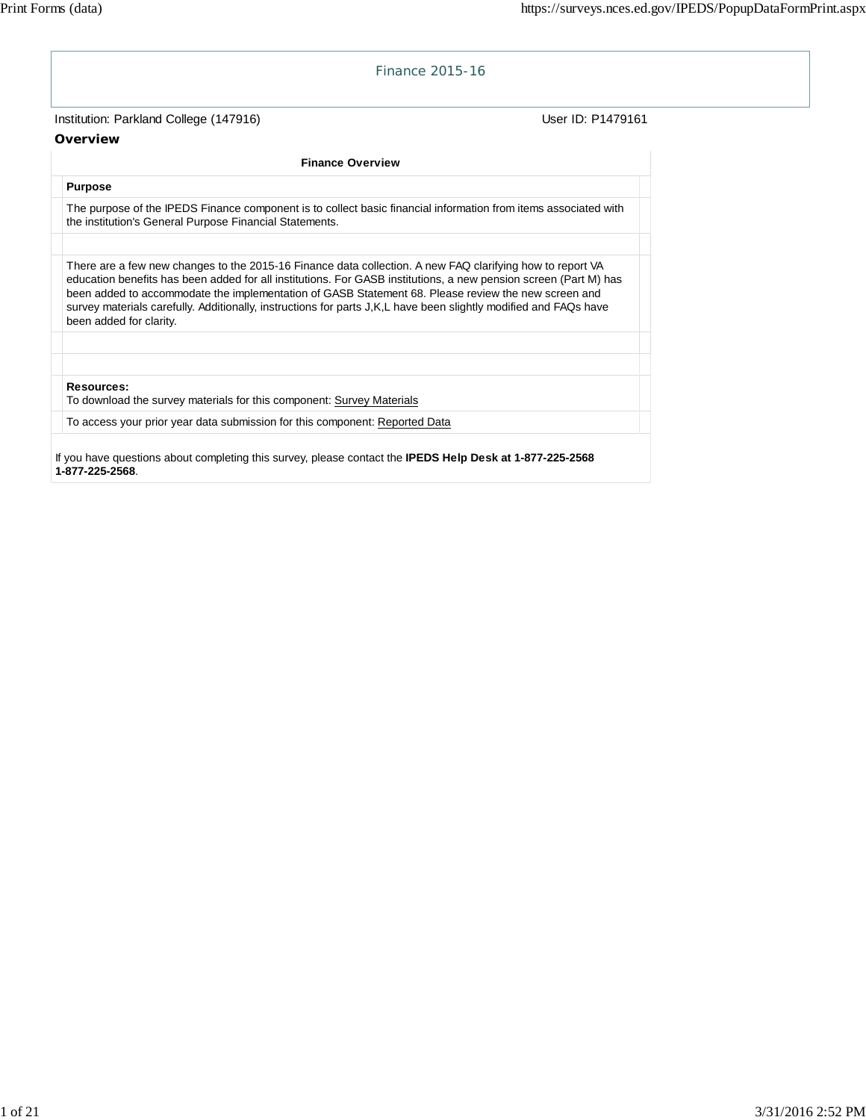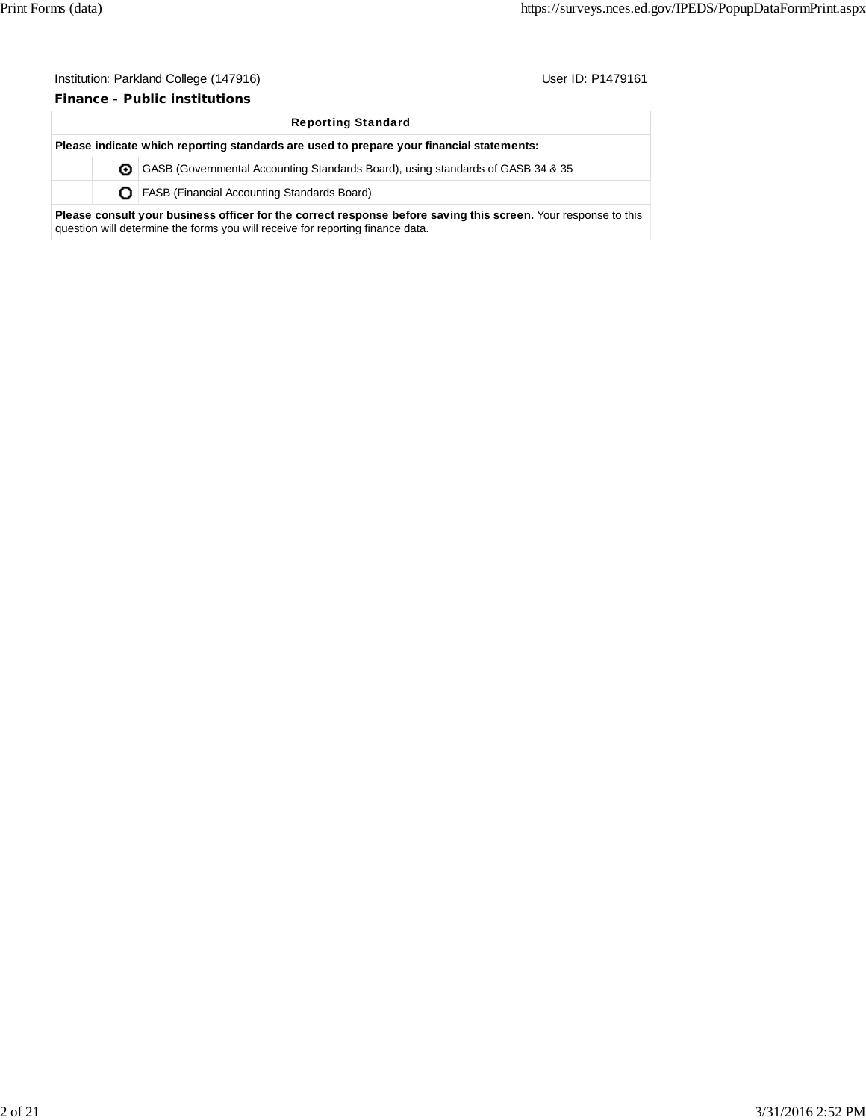**Finance - Public institutions**

|                                                                                          | <b>Reporting Standard</b> |                                                                                                                                                                                                  |  |  |  |  |  |
|------------------------------------------------------------------------------------------|---------------------------|--------------------------------------------------------------------------------------------------------------------------------------------------------------------------------------------------|--|--|--|--|--|
| Please indicate which reporting standards are used to prepare your financial statements: |                           |                                                                                                                                                                                                  |  |  |  |  |  |
|                                                                                          |                           | <b>O</b> GASB (Governmental Accounting Standards Board), using standards of GASB 34 & 35                                                                                                         |  |  |  |  |  |
|                                                                                          |                           | <b>O</b>   FASB (Financial Accounting Standards Board)                                                                                                                                           |  |  |  |  |  |
|                                                                                          |                           | Please consult your business officer for the correct response before saving this screen. Your response to this<br>question will determine the forms you will receive for reporting finance data. |  |  |  |  |  |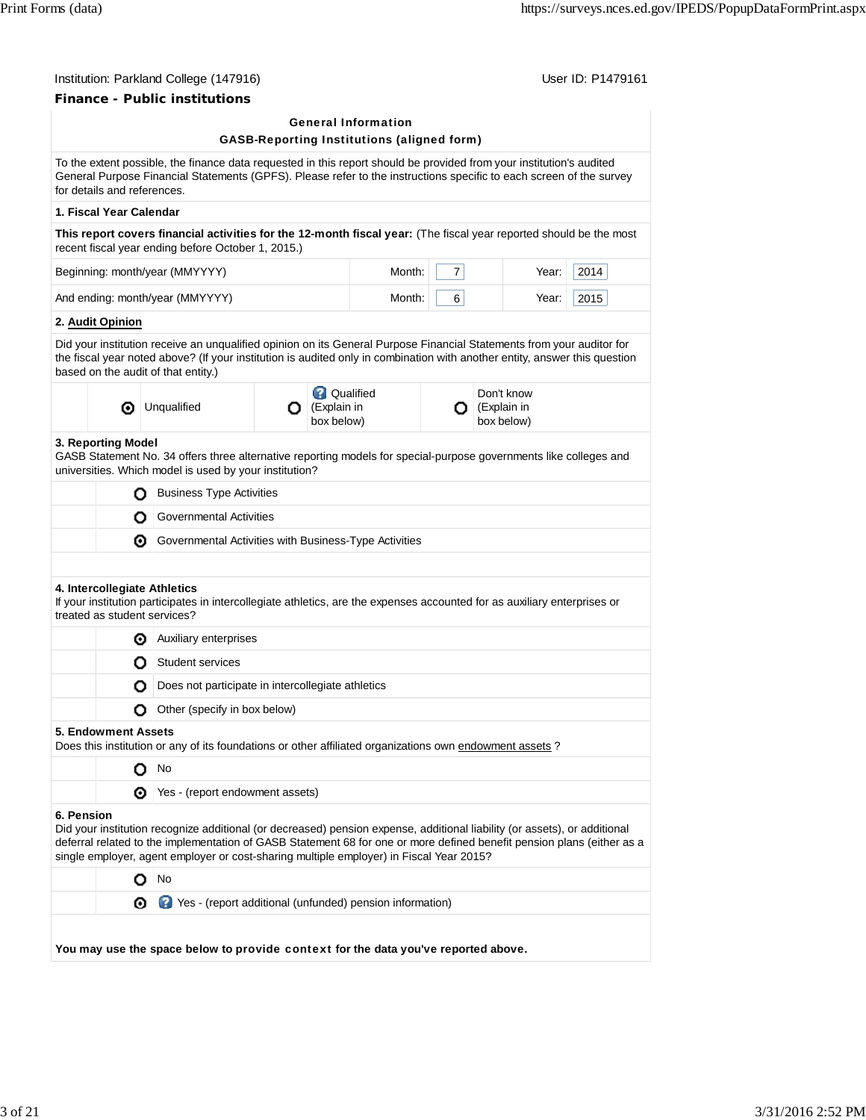# **Finance - Public institutions**

# General Information GASB-Reporting Institutions (aligned form)

|            | for details and references. |                                                                                                                                                                                                                                                                                                                                                |   |                                               |        |                | To the extent possible, the finance data requested in this report should be provided from your institution's audited<br>General Purpose Financial Statements (GPFS). Please refer to the instructions specific to each screen of the survey |      |  |
|------------|-----------------------------|------------------------------------------------------------------------------------------------------------------------------------------------------------------------------------------------------------------------------------------------------------------------------------------------------------------------------------------------|---|-----------------------------------------------|--------|----------------|---------------------------------------------------------------------------------------------------------------------------------------------------------------------------------------------------------------------------------------------|------|--|
|            | 1. Fiscal Year Calendar     |                                                                                                                                                                                                                                                                                                                                                |   |                                               |        |                |                                                                                                                                                                                                                                             |      |  |
|            |                             | This report covers financial activities for the 12-month fiscal year: (The fiscal year reported should be the most<br>recent fiscal year ending before October 1, 2015.)                                                                                                                                                                       |   |                                               |        |                |                                                                                                                                                                                                                                             |      |  |
|            |                             | Beginning: month/year (MMYYYY)                                                                                                                                                                                                                                                                                                                 |   |                                               | Month: | $\overline{7}$ | Year:                                                                                                                                                                                                                                       | 2014 |  |
|            |                             | And ending: month/year (MMYYYY)                                                                                                                                                                                                                                                                                                                |   |                                               | Month: | 6              | Year:                                                                                                                                                                                                                                       | 2015 |  |
|            | 2. Audit Opinion            |                                                                                                                                                                                                                                                                                                                                                |   |                                               |        |                |                                                                                                                                                                                                                                             |      |  |
|            |                             | Did your institution receive an unqualified opinion on its General Purpose Financial Statements from your auditor for<br>the fiscal year noted above? (If your institution is audited only in combination with another entity, answer this question<br>based on the audit of that entity.)                                                     |   |                                               |        |                |                                                                                                                                                                                                                                             |      |  |
|            | ⊙                           | Unqualified                                                                                                                                                                                                                                                                                                                                    | О | <b>Qualified</b><br>(Explain in<br>box below) |        | О              | Don't know<br>(Explain in<br>box below)                                                                                                                                                                                                     |      |  |
|            | 3. Reporting Model          | GASB Statement No. 34 offers three alternative reporting models for special-purpose governments like colleges and<br>universities. Which model is used by your institution?                                                                                                                                                                    |   |                                               |        |                |                                                                                                                                                                                                                                             |      |  |
|            | О                           | <b>Business Type Activities</b>                                                                                                                                                                                                                                                                                                                |   |                                               |        |                |                                                                                                                                                                                                                                             |      |  |
|            | О                           | <b>Governmental Activities</b>                                                                                                                                                                                                                                                                                                                 |   |                                               |        |                |                                                                                                                                                                                                                                             |      |  |
|            | ⊙                           | Governmental Activities with Business-Type Activities                                                                                                                                                                                                                                                                                          |   |                                               |        |                |                                                                                                                                                                                                                                             |      |  |
|            |                             |                                                                                                                                                                                                                                                                                                                                                |   |                                               |        |                |                                                                                                                                                                                                                                             |      |  |
|            |                             | 4. Intercollegiate Athletics<br>If your institution participates in intercollegiate athletics, are the expenses accounted for as auxiliary enterprises or<br>treated as student services?                                                                                                                                                      |   |                                               |        |                |                                                                                                                                                                                                                                             |      |  |
|            | ⊙                           | Auxiliary enterprises                                                                                                                                                                                                                                                                                                                          |   |                                               |        |                |                                                                                                                                                                                                                                             |      |  |
|            | Ο                           | Student services                                                                                                                                                                                                                                                                                                                               |   |                                               |        |                |                                                                                                                                                                                                                                             |      |  |
|            | О                           | Does not participate in intercollegiate athletics                                                                                                                                                                                                                                                                                              |   |                                               |        |                |                                                                                                                                                                                                                                             |      |  |
|            | Ο                           | Other (specify in box below)                                                                                                                                                                                                                                                                                                                   |   |                                               |        |                |                                                                                                                                                                                                                                             |      |  |
|            | <b>5. Endowment Assets</b>  | Does this institution or any of its foundations or other affiliated organizations own endowment assets ?                                                                                                                                                                                                                                       |   |                                               |        |                |                                                                                                                                                                                                                                             |      |  |
|            |                             | No                                                                                                                                                                                                                                                                                                                                             |   |                                               |        |                |                                                                                                                                                                                                                                             |      |  |
|            |                             | Yes - (report endowment assets)                                                                                                                                                                                                                                                                                                                |   |                                               |        |                |                                                                                                                                                                                                                                             |      |  |
| 6. Pension |                             | Did your institution recognize additional (or decreased) pension expense, additional liability (or assets), or additional<br>deferral related to the implementation of GASB Statement 68 for one or more defined benefit pension plans (either as a<br>single employer, agent employer or cost-sharing multiple employer) in Fiscal Year 2015? |   |                                               |        |                |                                                                                                                                                                                                                                             |      |  |
|            | O                           | No                                                                                                                                                                                                                                                                                                                                             |   |                                               |        |                |                                                                                                                                                                                                                                             |      |  |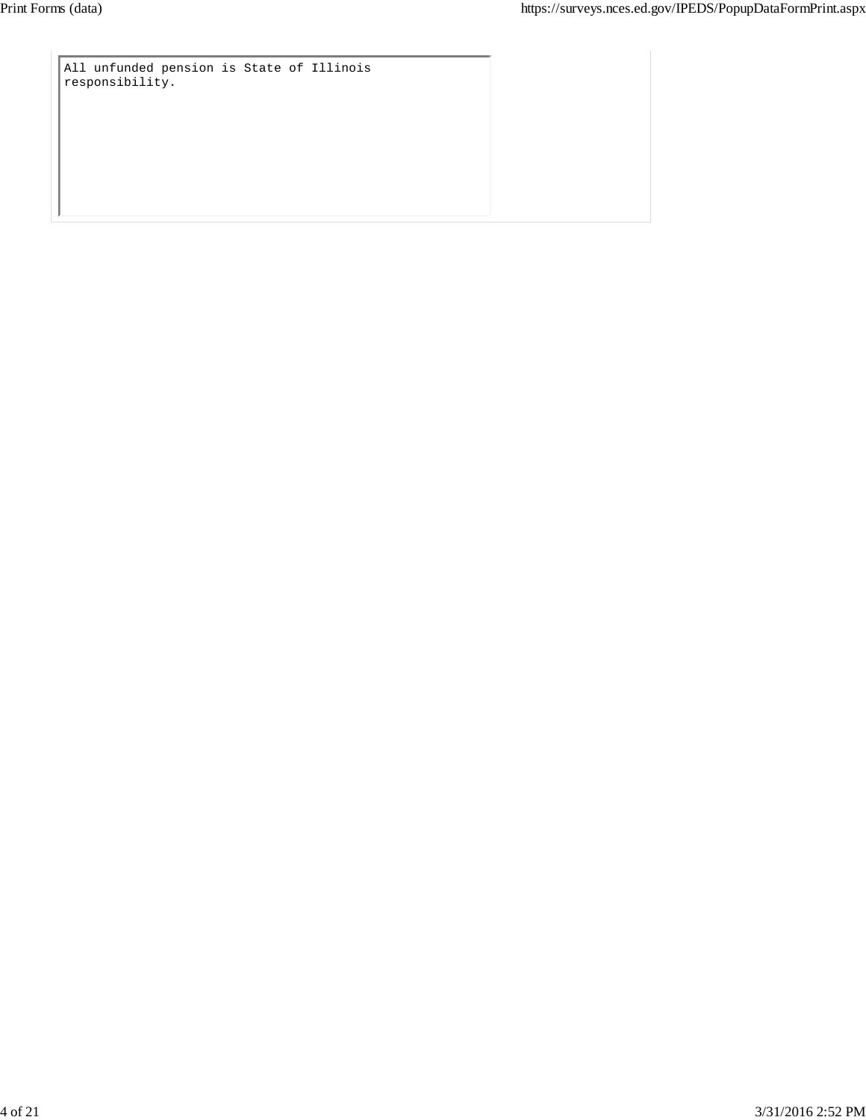All unfunded pension is State of Illinois responsibility.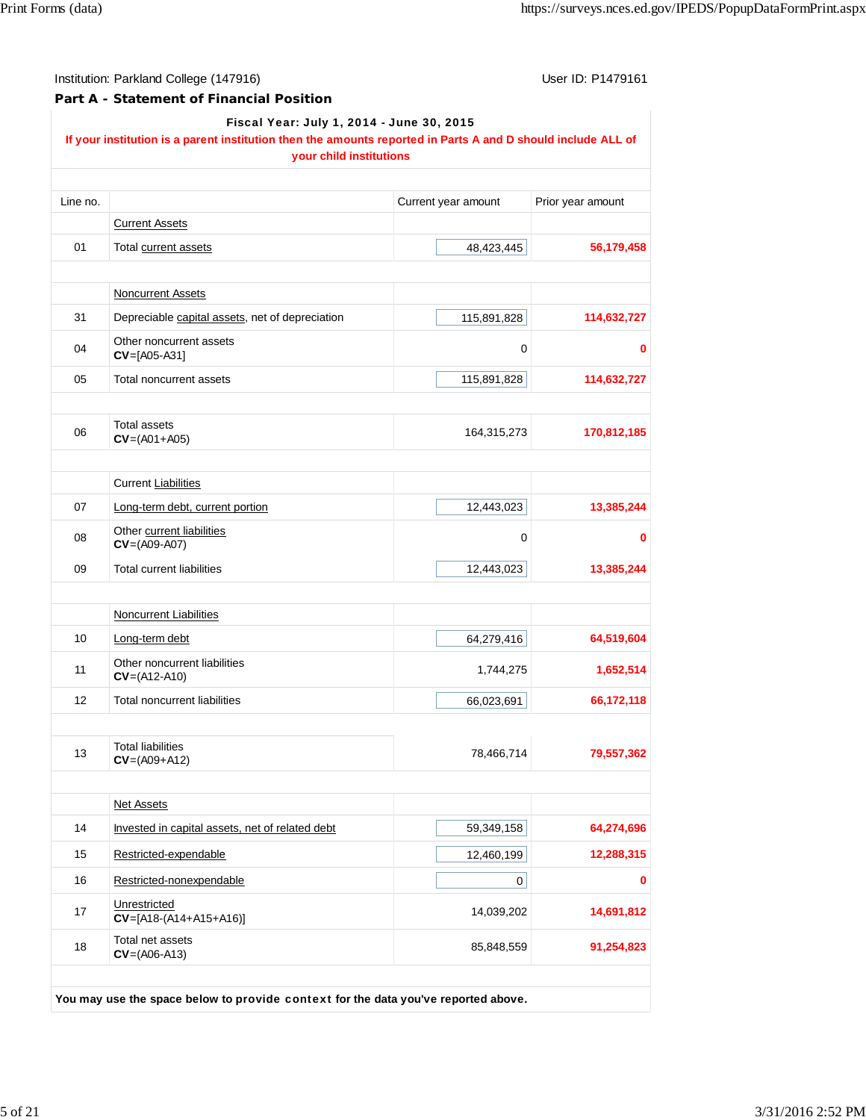### **Part A - Statement of Financial Position**

Fiscal Year: July 1, 2014 - June 30, 2015

## **If your institution is a parent institution then the amounts reported in Parts A and D should include ALL of your child institutions**

| Line no. |                                                 | Current year amount | Prior year amount |
|----------|-------------------------------------------------|---------------------|-------------------|
|          | <b>Current Assets</b>                           |                     |                   |
| 01       | Total current assets                            | 48,423,445          | 56,179,458        |
|          | <b>Noncurrent Assets</b>                        |                     |                   |
| 31       | Depreciable capital assets, net of depreciation | 115,891,828         | 114,632,727       |
| 04       | Other noncurrent assets<br>$CV=[A05-A31]$       | 0                   |                   |
| 05       | Total noncurrent assets                         | 115,891,828         | 114,632,727       |
|          | Total assets                                    |                     |                   |
| 06       | $CV=(A01+A05)$                                  | 164,315,273         | 170,812,185       |
|          | <b>Current Liabilities</b>                      |                     |                   |
| 07       | Long-term debt, current portion                 | 12,443,023          | 13,385,244        |
| 08       | Other current liabilities<br>$CV=(A09-A07)$     | 0                   | 0                 |
| 09       | <b>Total current liabilities</b>                | 12,443,023          | 13,385,244        |
|          | <b>Noncurrent Liabilities</b>                   |                     |                   |
| 10       | Long-term debt                                  | 64,279,416          | 64,519,604        |
| 11       | Other noncurrent liabilities<br>$CV=(A12-A10)$  | 1,744,275           | 1,652,514         |
| 12       | <b>Total noncurrent liabilities</b>             | 66,023,691          | 66,172,118        |
| 13       | <b>Total liabilities</b><br>$CV=(A09+A12)$      | 78,466,714          | 79,557,362        |
|          | Net Assets                                      |                     |                   |
| 14       | Invested in capital assets, net of related debt | 59,349,158          | 64,274,696        |
| 15       | Restricted-expendable                           | 12,460,199          | 12,288,315        |
| 16       | Restricted-nonexpendable                        | 0                   |                   |
| 17       | Unrestricted<br>$CV=[A18-(A14+A15+A16)]$        | 14,039,202          | 14,691,812        |
| 18       | Total net assets<br>$CV=(AO6-A13)$              | 85,848,559          | 91,254,823        |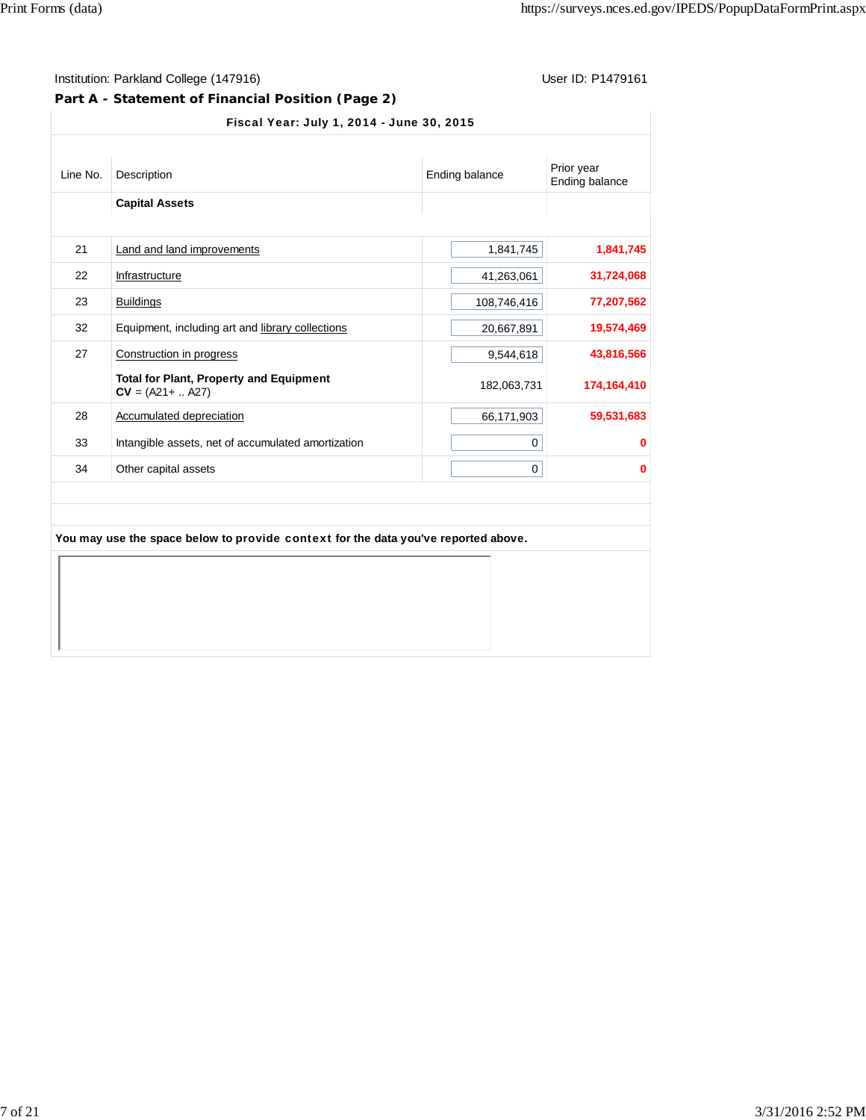# **Part A - Statement of Financial Position (Page 2)**

| <b>Capital Assets</b><br>Land and land improvements                   |             |             |
|-----------------------------------------------------------------------|-------------|-------------|
|                                                                       |             |             |
|                                                                       |             |             |
|                                                                       | 1,841,745   | 1,841,745   |
| Infrastructure                                                        | 41,263,061  | 31,724,068  |
| <b>Buildings</b>                                                      | 108,746,416 | 77,207,562  |
| Equipment, including art and library collections                      | 20,667,891  | 19,574,469  |
| Construction in progress                                              | 9,544,618   | 43,816,566  |
| <b>Total for Plant, Property and Equipment</b><br>$CV = (A21 +  A27)$ | 182,063,731 | 174,164,410 |
| Accumulated depreciation                                              | 66,171,903  | 59,531,683  |
| Intangible assets, net of accumulated amortization                    | 0           | 0           |
| Other capital assets                                                  | 0           | 0           |
|                                                                       |             |             |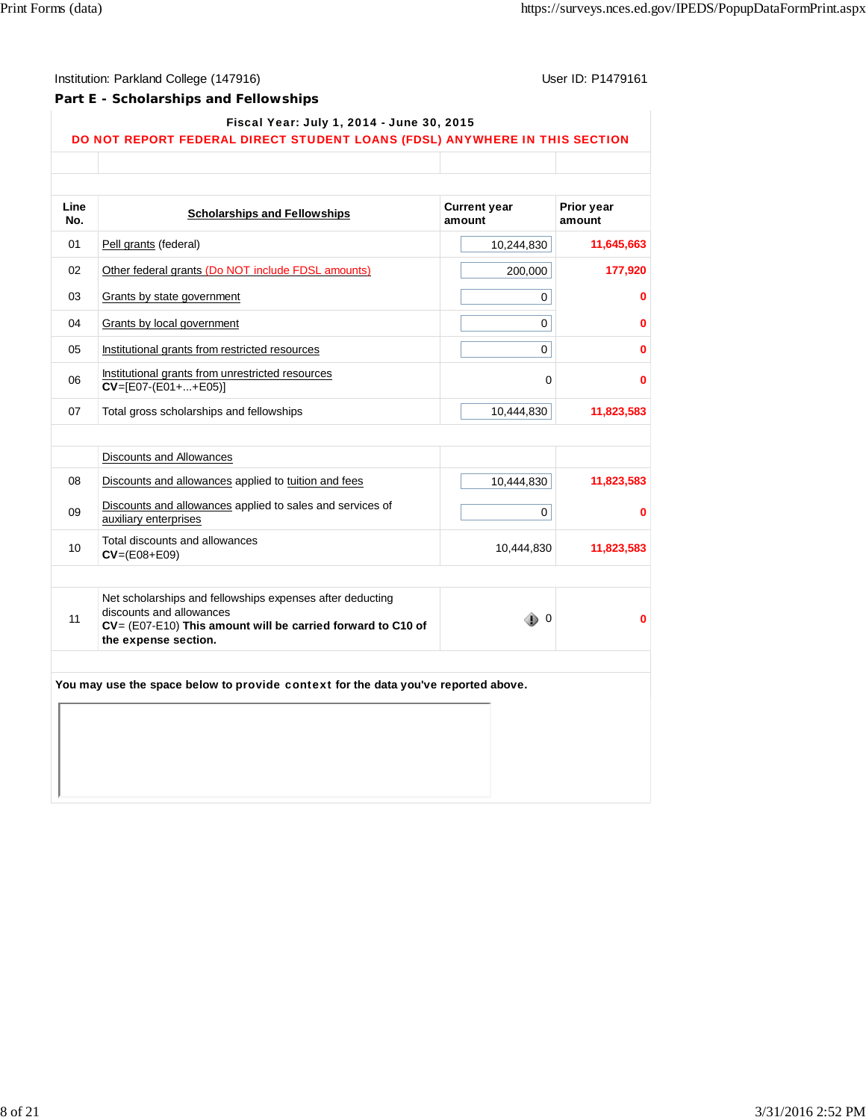### **Part E - Scholarships and Fellowships**

#### Fiscal Year: July 1, 2014 - June 30, 2015

# DO NOT REPORT FEDERAL DIRECT STUDENT LOANS (FDSL) ANYWHERE IN THIS SECTION

| Line<br>No.      | <b>Scholarships and Fellowships</b>                                                                                                                                          | <b>Current year</b><br>amount | Prior year<br>amount |
|------------------|------------------------------------------------------------------------------------------------------------------------------------------------------------------------------|-------------------------------|----------------------|
| 01               | Pell grants (federal)                                                                                                                                                        | 10,244,830                    | 11,645,663           |
| 02               | Other federal grants (Do NOT include FDSL amounts)                                                                                                                           | 200,000                       | 177,920              |
| 03               | Grants by state government                                                                                                                                                   | 0                             | 0                    |
| 04               | Grants by local government                                                                                                                                                   | 0                             | 0                    |
| 05               | Institutional grants from restricted resources                                                                                                                               | 0                             | 0                    |
| 06               | Institutional grants from unrestricted resources<br>$CV=[E07-(E01++E05)]$                                                                                                    | 0                             | 0                    |
| 07               | Total gross scholarships and fellowships                                                                                                                                     | 10,444,830                    | 11,823,583           |
|                  |                                                                                                                                                                              |                               |                      |
|                  | <b>Discounts and Allowances</b>                                                                                                                                              |                               |                      |
| 08               | Discounts and allowances applied to tuition and fees                                                                                                                         | 10,444,830                    | 11,823,583           |
| 09               | Discounts and allowances applied to sales and services of<br>auxiliary enterprises                                                                                           | $\mathbf 0$                   | 0                    |
| 10 <sup>10</sup> | Total discounts and allowances<br>$CV = (E08 + E09)$                                                                                                                         | 10,444,830                    | 11,823,583           |
| 11               | Net scholarships and fellowships expenses after deducting<br>discounts and allowances<br>CV= (E07-E10) This amount will be carried forward to C10 of<br>the expense section. | - 0                           | 0                    |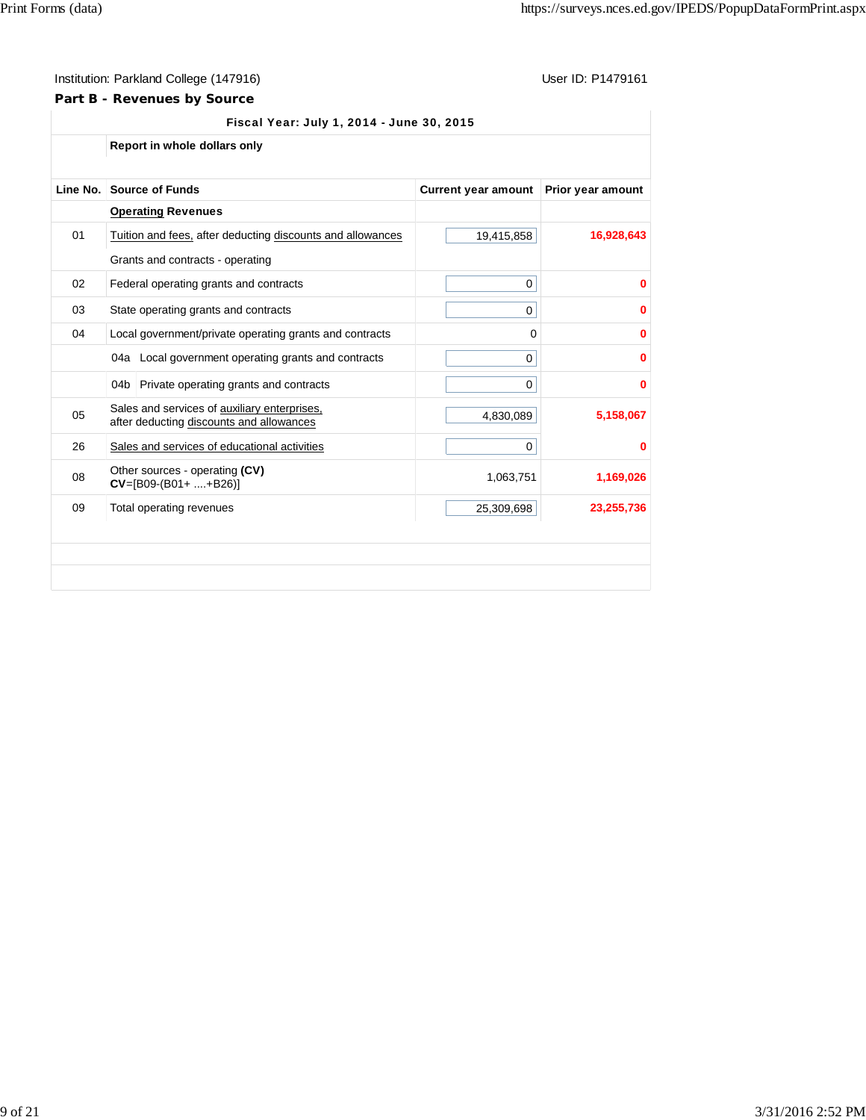## **Part B - Revenues by Source**

|          |     | Report in whole dollars only                                                             |                            |                   |
|----------|-----|------------------------------------------------------------------------------------------|----------------------------|-------------------|
|          |     |                                                                                          |                            |                   |
| Line No. |     | <b>Source of Funds</b>                                                                   | <b>Current year amount</b> | Prior year amount |
|          |     | <b>Operating Revenues</b>                                                                |                            |                   |
| 01       |     | Tuition and fees, after deducting discounts and allowances                               | 19,415,858                 | 16,928,643        |
|          |     | Grants and contracts - operating                                                         |                            |                   |
| 02       |     | Federal operating grants and contracts                                                   | $\mathbf 0$                | 0                 |
| 03       |     | State operating grants and contracts                                                     | 0                          | 0                 |
| 04       |     | Local government/private operating grants and contracts                                  | 0                          | 0                 |
|          |     | 04a   Local government operating grants and contracts                                    | 0                          | 0                 |
|          | 04b | Private operating grants and contracts                                                   | 0                          | 0                 |
| 05       |     | Sales and services of auxiliary enterprises,<br>after deducting discounts and allowances | 4,830,089                  | 5,158,067         |
| 26       |     | Sales and services of educational activities                                             | 0                          | 0                 |
| 08       |     | Other sources - operating (CV)<br>$CV=[B09-(B01++B26)]$                                  | 1,063,751                  | 1,169,026         |
| 09       |     | Total operating revenues                                                                 | 25,309,698                 | 23,255,736        |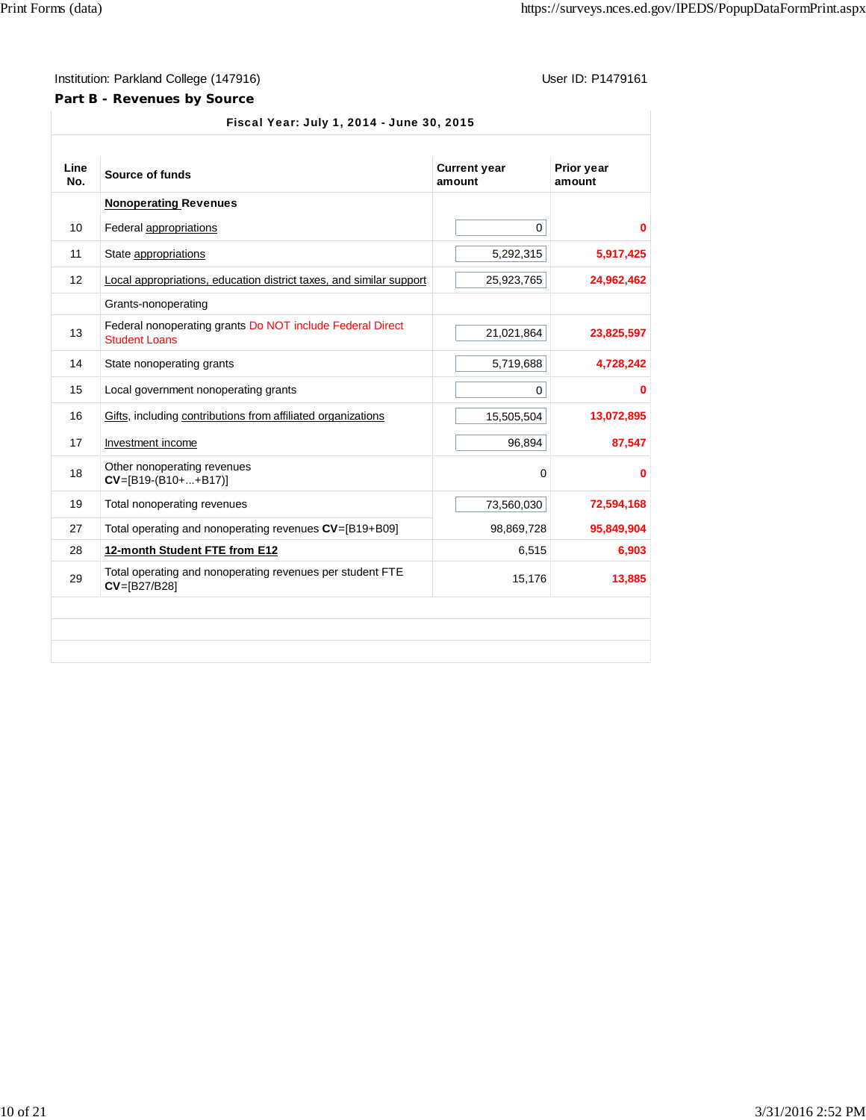### **Part B - Revenues by Source**

| Line<br>No. | Source of funds                                                                   | <b>Current year</b><br>amount | Prior year<br>amount |
|-------------|-----------------------------------------------------------------------------------|-------------------------------|----------------------|
|             | <b>Nonoperating Revenues</b>                                                      |                               |                      |
| 10          | Federal appropriations                                                            | 0                             | 0                    |
| 11          | State appropriations                                                              | 5,292,315                     | 5,917,425            |
| 12          | Local appropriations, education district taxes, and similar support               | 25,923,765                    | 24,962,462           |
|             | Grants-nonoperating                                                               |                               |                      |
| 13          | Federal nonoperating grants Do NOT include Federal Direct<br><b>Student Loans</b> | 21,021,864                    | 23,825,597           |
| 14          | State nonoperating grants                                                         | 5,719,688                     | 4,728,242            |
| 15          | Local government nonoperating grants                                              | $\mathbf 0$                   | 0                    |
| 16          | Gifts, including contributions from affiliated organizations                      | 15,505,504                    | 13,072,895           |
| 17          | Investment income                                                                 | 96,894                        | 87,547               |
| 18          | Other nonoperating revenues<br>$CV=[B19-(B10++B17)]$                              | 0                             | 0                    |
| 19          | Total nonoperating revenues                                                       | 73,560,030                    | 72,594,168           |
| 27          | Total operating and nonoperating revenues CV=[B19+B09]                            | 98,869,728                    | 95,849,904           |
| 28          | 12-month Student FTE from E12                                                     | 6,515                         | 6,903                |
| 29          | Total operating and nonoperating revenues per student FTE<br>CV=[B27/B28]         | 15,176                        | 13,885               |
|             |                                                                                   |                               |                      |
|             |                                                                                   |                               |                      |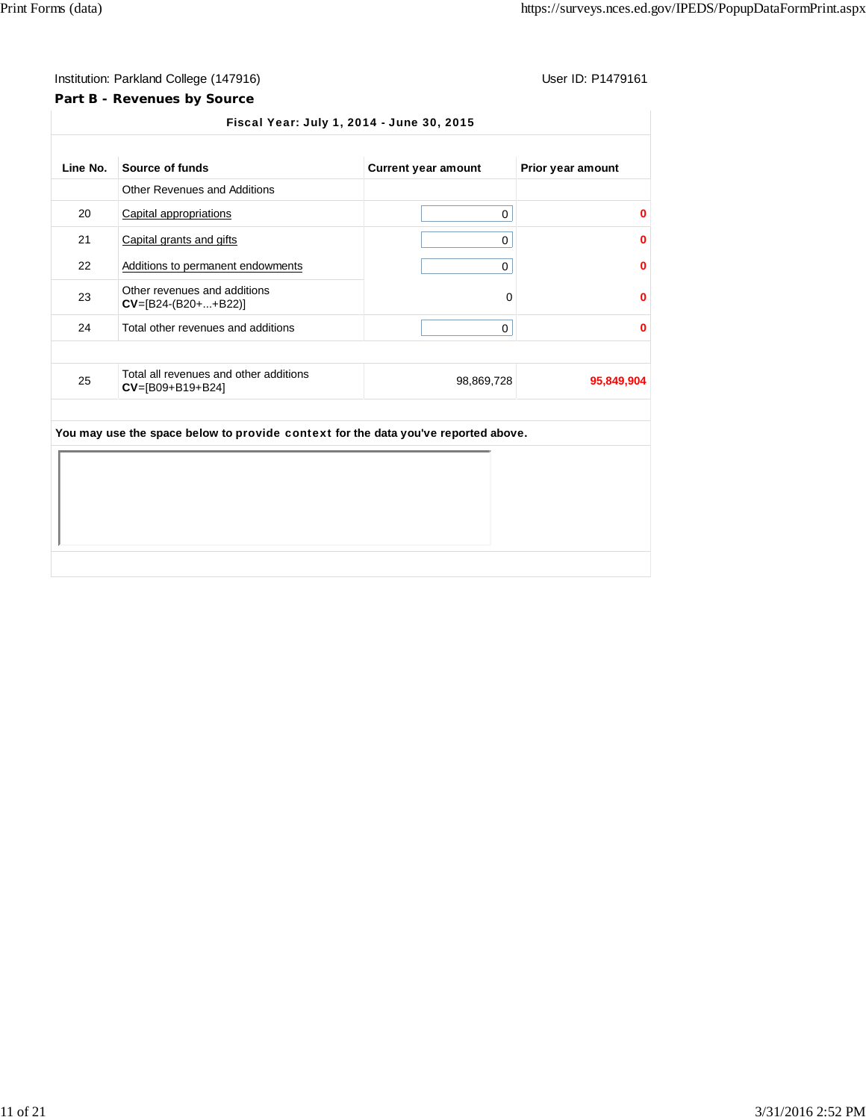## **Part B - Revenues by Source**

| Line No. | Source of funds                                                                    | <b>Current year amount</b> | Prior year amount |
|----------|------------------------------------------------------------------------------------|----------------------------|-------------------|
|          | <b>Other Revenues and Additions</b>                                                |                            |                   |
| 20       | Capital appropriations                                                             | $\mathbf 0$                | 0                 |
| 21       | Capital grants and gifts                                                           | 0                          | 0                 |
| 22       | Additions to permanent endowments                                                  | 0                          | 0                 |
| 23       | Other revenues and additions<br>$CV=[B24-(B20++B22)]$                              | 0                          | 0                 |
| 24       | Total other revenues and additions                                                 | 0                          | 0                 |
| 25       | Total all revenues and other additions<br>$CV=[B09+B19+B24]$                       | 98,869,728                 | 95,849,904        |
|          |                                                                                    |                            |                   |
|          | You may use the space below to provide context for the data you've reported above. |                            |                   |
|          |                                                                                    |                            |                   |
|          |                                                                                    |                            |                   |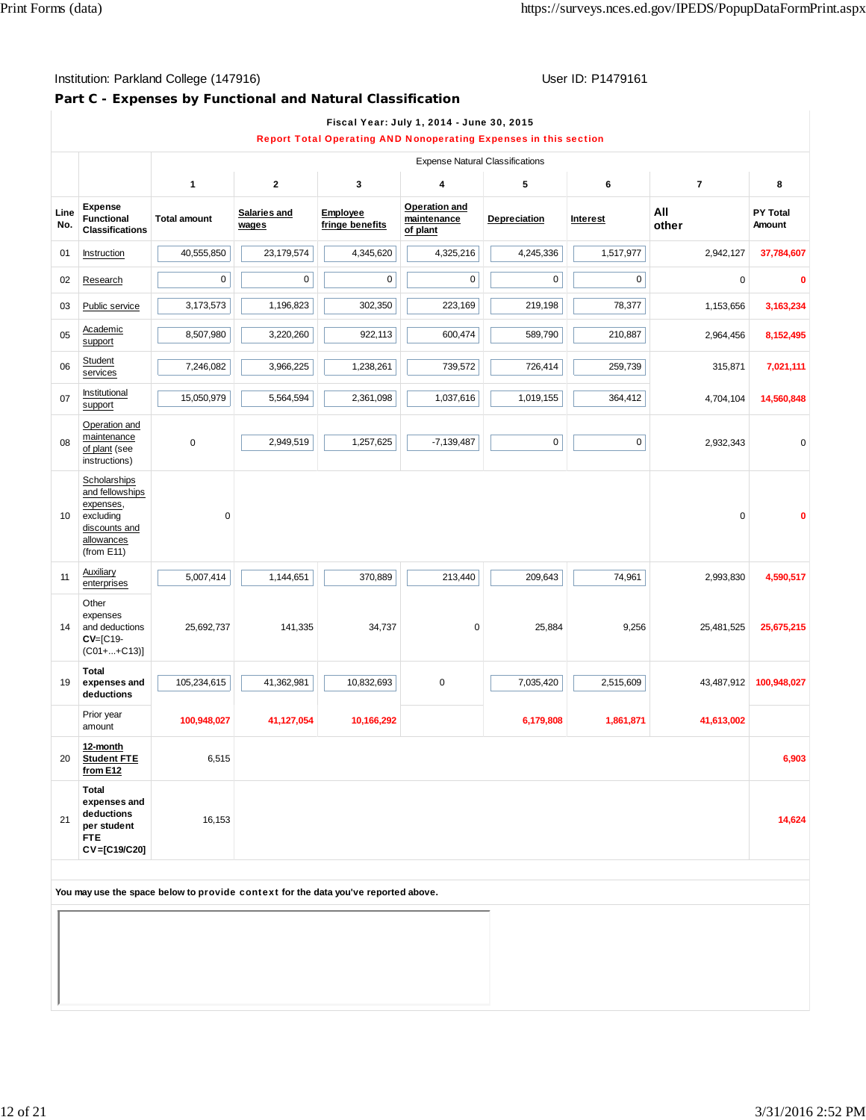## **Part C - Expenses by Functional and Natural Classification**

|             |                                                                                                           |                     |                       |                             | <b>Expense Natural Classifications</b>   |                     |             |                |                           |
|-------------|-----------------------------------------------------------------------------------------------------------|---------------------|-----------------------|-----------------------------|------------------------------------------|---------------------|-------------|----------------|---------------------------|
|             |                                                                                                           | 1                   | $\mathbf{2}$          | 3                           | 4                                        | 5                   | 6           | $\overline{7}$ | 8                         |
| Line<br>No. | <b>Expense</b><br><b>Functional</b><br><b>Classifications</b>                                             | <b>Total amount</b> | Salaries and<br>wages | Employee<br>fringe benefits | Operation and<br>maintenance<br>of plant | Depreciation        | Interest    | All<br>other   | <b>PY Total</b><br>Amount |
| 01          | Instruction                                                                                               | 40,555,850          | 23,179,574            | 4,345,620                   | 4,325,216                                | 4,245,336           | 1,517,977   | 2,942,127      | 37,784,607                |
| 02          | Research                                                                                                  | 0                   | 0                     | 0                           | $\pmb{0}$                                | $\mathbf 0$         | 0           | $\mathbf 0$    | 0                         |
| 03          | Public service                                                                                            | 3,173,573           | 1,196,823             | 302,350                     | 223,169                                  | 219,198             | 78,377      | 1,153,656      | 3,163,234                 |
| 05          | Academic<br>support                                                                                       | 8,507,980           | 3,220,260             | 922,113                     | 600,474                                  | 589,790             | 210,887     | 2,964,456      | 8,152,495                 |
| 06          | Student<br>services                                                                                       | 7,246,082           | 3,966,225             | 1,238,261                   | 739,572                                  | 726,414             | 259,739     | 315,871        | 7,021,111                 |
| 07          | Institutional<br>support                                                                                  | 15,050,979          | 5,564,594             | 2,361,098                   | 1,037,616                                | 1,019,155           | 364,412     | 4,704,104      | 14,560,848                |
| 08          | Operation and<br>maintenance<br>of plant (see<br>instructions)                                            | $\mathbf 0$         | 2,949,519             | 1,257,625                   | $-7,139,487$                             | $\mathsf{O}\xspace$ | $\mathbf 0$ | 2,932,343      | 0                         |
| 10          | Scholarships<br>and fellowships<br>expenses,<br>excluding<br>discounts and<br>allowances<br>(from $E11$ ) | $\mathbf 0$         |                       |                             |                                          |                     |             | 0              |                           |
| 11          | Auxiliary<br>enterprises                                                                                  | 5,007,414           | 1,144,651             | 370,889                     | 213,440                                  | 209,643             | 74,961      | 2,993,830      | 4,590,517                 |
| 14          | Other<br>expenses<br>and deductions<br>$CV=[C19-$<br>$(C01 +  + C13)$                                     | 25,692,737          | 141,335               | 34,737                      | 0                                        | 25,884              | 9,256       | 25,481,525     | 25,675,215                |
| 19          | Total<br>expenses and<br>deductions                                                                       | 105,234,615         | 41,362,981            | 10,832,693                  | $\mathsf 0$                              | 7,035,420           | 2,515,609   | 43,487,912     | 100,948,027               |
|             | Prior year<br>amount                                                                                      | 100,948,027         | 41,127,054            | 10,166,292                  |                                          | 6,179,808           | 1,861,871   | 41,613,002     |                           |
| 20          | 12-month<br><b>Student FTE</b><br>from E12                                                                | 6,515               |                       |                             |                                          |                     |             |                | 6,903                     |
| 21          | Total<br>expenses and<br>deductions<br>per student<br><b>FTE</b><br>CV=[C19/C20]                          | 16,153              |                       |                             |                                          |                     |             |                | 14,624                    |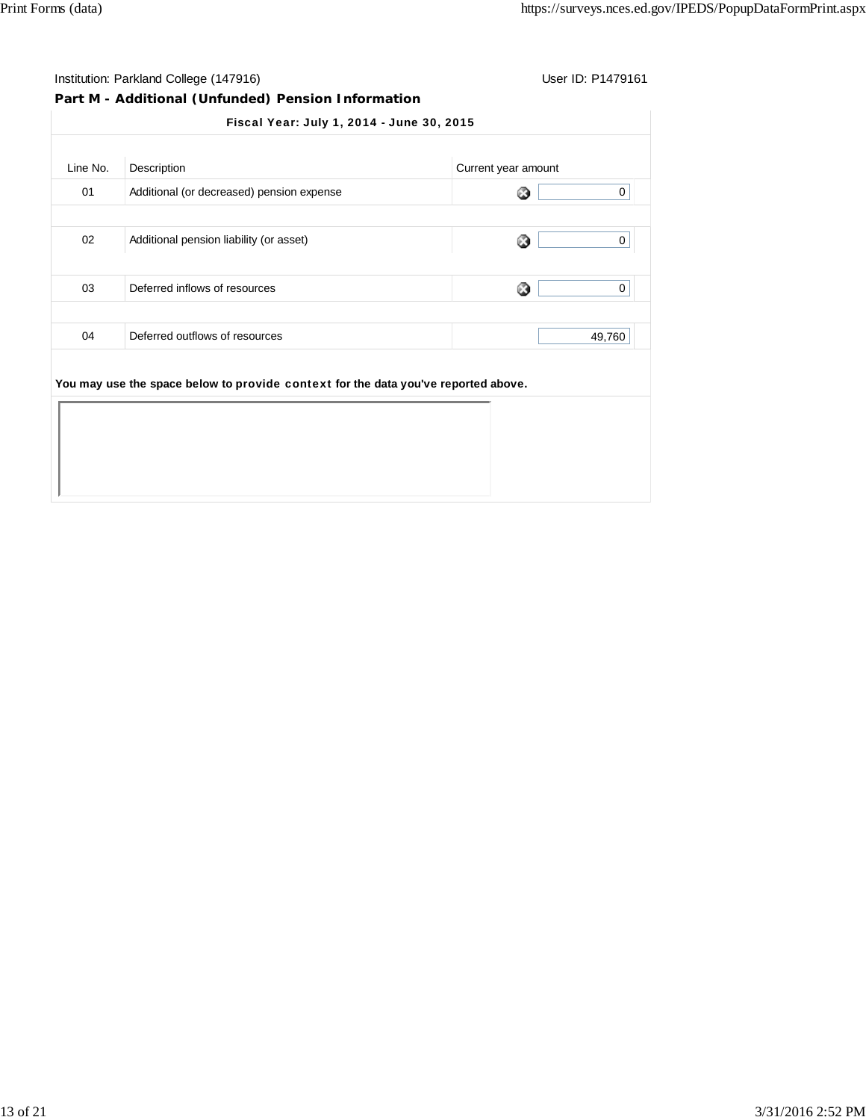# **Part M - Additional (Unfunded) Pension Information**

| 01 |                                                                                    |         |
|----|------------------------------------------------------------------------------------|---------|
|    | Additional (or decreased) pension expense                                          | 0<br>63 |
| 02 | Additional pension liability (or asset)                                            | ☺<br>0  |
| 03 | Deferred inflows of resources                                                      | ೞ<br>0  |
| 04 | Deferred outflows of resources                                                     | 49,760  |
|    | You may use the space below to provide context for the data you've reported above. |         |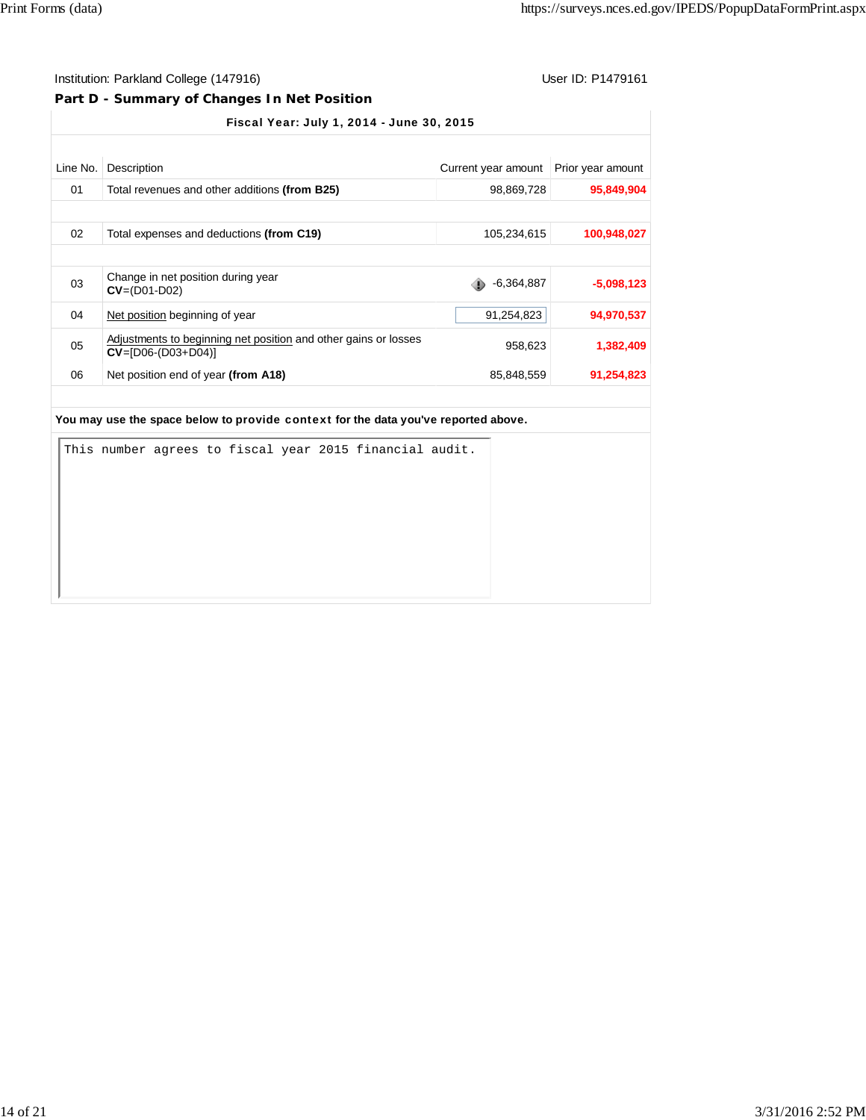## **Part D - Summary of Changes In Net Position**

Fiscal Year: July 1, 2014 - June 30, 2015

| Line No.        | Description                                                                             | Current year amount | Prior year amount |
|-----------------|-----------------------------------------------------------------------------------------|---------------------|-------------------|
| 01              | Total revenues and other additions (from B25)                                           | 98,869,728          | 95,849,904        |
|                 |                                                                                         |                     |                   |
| 02 <sup>°</sup> | Total expenses and deductions (from C19)                                                | 105,234,615         | 100,948,027       |
|                 |                                                                                         |                     |                   |
| 03              | Change in net position during year<br>$CV = (D01 - D02)$                                | $-6,364,887$        | $-5,098,123$      |
| 04              | Net position beginning of year                                                          | 91,254,823          | 94,970,537        |
| 05              | Adjustments to beginning net position and other gains or losses<br>$CV=[D06-(D03+D04)]$ | 958,623             | 1,382,409         |
| 06              | Net position end of year (from A18)                                                     | 85,848,559          | 91,254,823        |

|  |  |  |  | This number agrees to fiscal year 2015 financial audit. |  |
|--|--|--|--|---------------------------------------------------------|--|
|  |  |  |  |                                                         |  |
|  |  |  |  |                                                         |  |
|  |  |  |  |                                                         |  |
|  |  |  |  |                                                         |  |
|  |  |  |  |                                                         |  |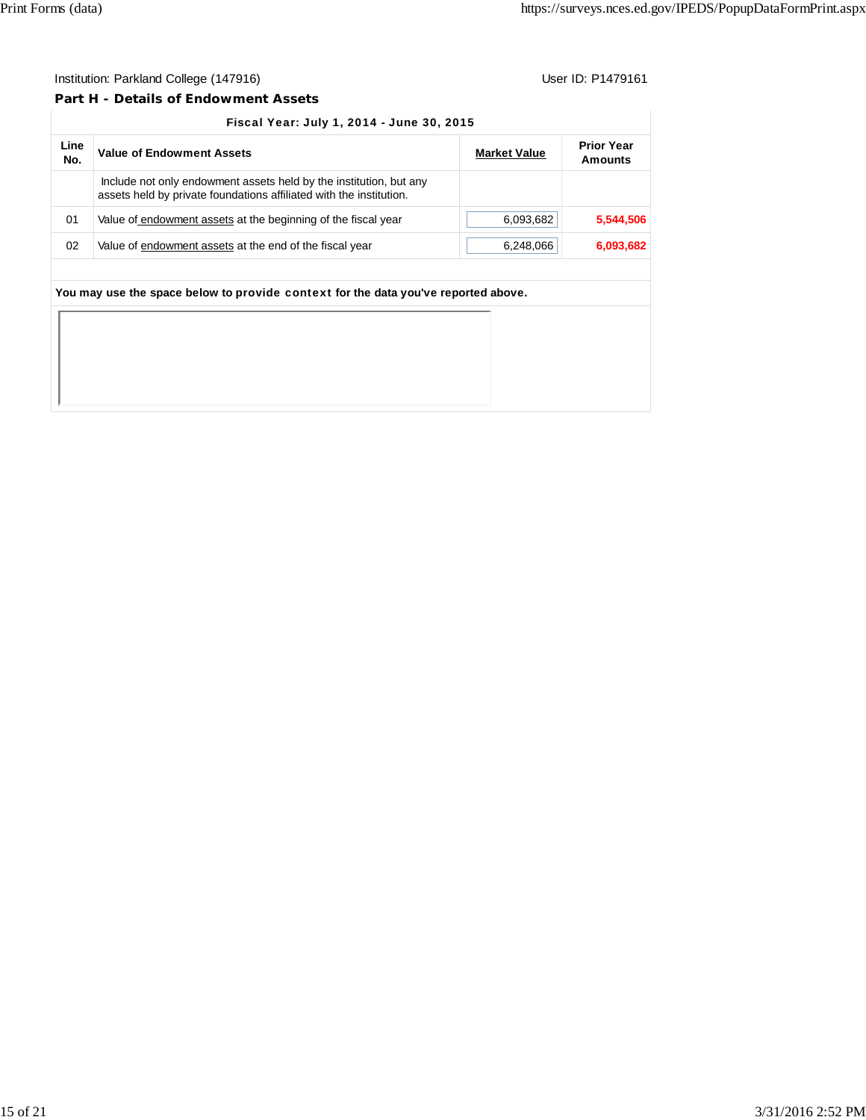### **Part H - Details of Endowment Assets**

| Line<br>No. | <b>Value of Endowment Assets</b>                                                                                                          | <b>Market Value</b> | <b>Prior Year</b><br>Amounts |
|-------------|-------------------------------------------------------------------------------------------------------------------------------------------|---------------------|------------------------------|
|             | Include not only endowment assets held by the institution, but any<br>assets held by private foundations affiliated with the institution. |                     |                              |
| 01          | Value of endowment assets at the beginning of the fiscal year                                                                             | 6,093,682           | 5,544,506                    |
| 02          | Value of endowment assets at the end of the fiscal year                                                                                   | 6,248,066           | 6,093,682                    |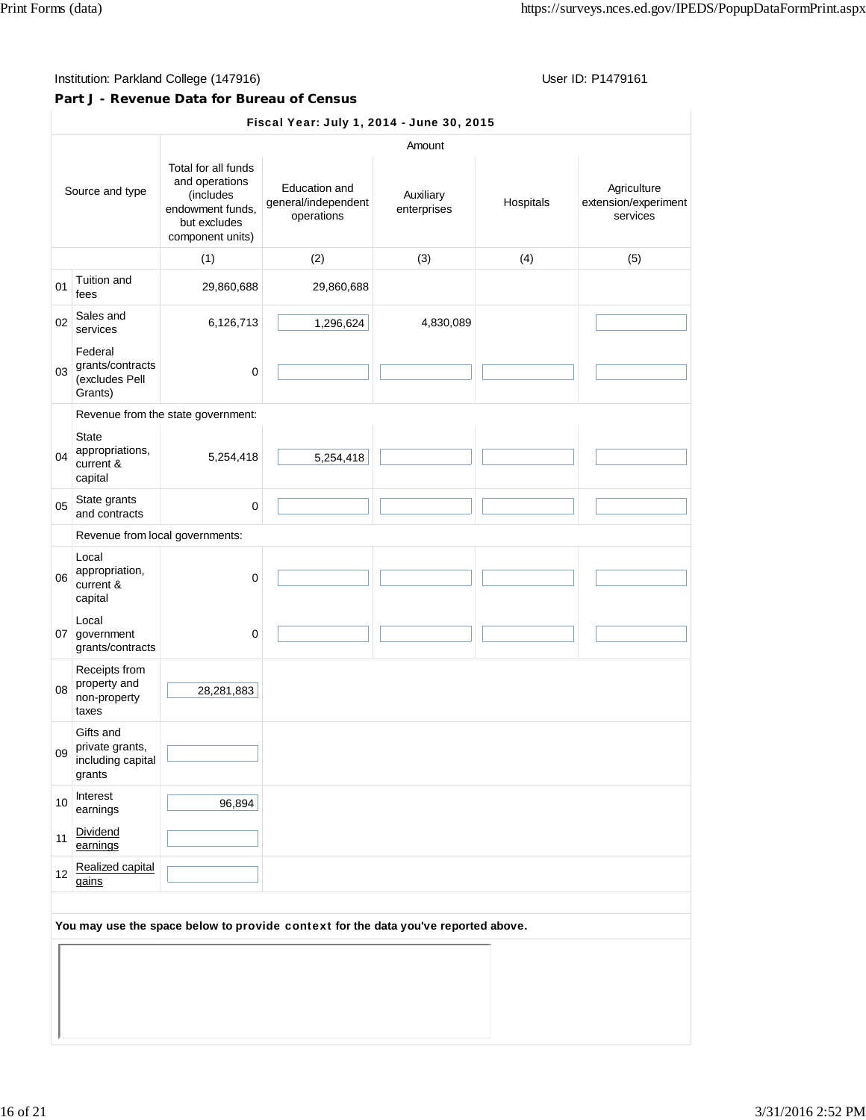## **Part J - Revenue Data for Bureau of Census**

|                 |                                                             |                                                                                                            | Fiscal Year: July 1, 2014 - June 30, 2015                                          |                          |           |                                                 |
|-----------------|-------------------------------------------------------------|------------------------------------------------------------------------------------------------------------|------------------------------------------------------------------------------------|--------------------------|-----------|-------------------------------------------------|
|                 |                                                             |                                                                                                            |                                                                                    | Amount                   |           |                                                 |
| Source and type |                                                             | Total for all funds<br>and operations<br>(includes<br>endowment funds.<br>but excludes<br>component units) | Education and<br>general/independent<br>operations                                 | Auxiliary<br>enterprises | Hospitals | Agriculture<br>extension/experiment<br>services |
|                 |                                                             | (1)                                                                                                        | (2)                                                                                | (3)                      | (4)       | (5)                                             |
| 01              | Tuition and<br>fees                                         | 29,860,688                                                                                                 | 29,860,688                                                                         |                          |           |                                                 |
| 02              | Sales and<br>services                                       | 6,126,713                                                                                                  | 1,296,624                                                                          | 4,830,089                |           |                                                 |
| 03              | Federal<br>grants/contracts<br>(excludes Pell<br>Grants)    | 0                                                                                                          |                                                                                    |                          |           |                                                 |
|                 |                                                             | Revenue from the state government:                                                                         |                                                                                    |                          |           |                                                 |
| 04              | <b>State</b><br>appropriations,<br>current &<br>capital     | 5,254,418                                                                                                  | 5,254,418                                                                          |                          |           |                                                 |
| 05              | State grants<br>and contracts                               | 0                                                                                                          |                                                                                    |                          |           |                                                 |
|                 | Revenue from local governments:                             |                                                                                                            |                                                                                    |                          |           |                                                 |
| 06              | Local<br>appropriation,<br>current &<br>capital             | 0                                                                                                          |                                                                                    |                          |           |                                                 |
| 07              | Local<br>government<br>grants/contracts                     | $\mathbf 0$                                                                                                |                                                                                    |                          |           |                                                 |
| 08              | Receipts from<br>property and<br>non-property<br>taxes      | 28,281,883                                                                                                 |                                                                                    |                          |           |                                                 |
| 09              | Gifts and<br>private grants,<br>including capital<br>grants |                                                                                                            |                                                                                    |                          |           |                                                 |
| 10              | Interest<br>earnings                                        | 96,894                                                                                                     |                                                                                    |                          |           |                                                 |
| 11              | Dividend<br>earnings                                        |                                                                                                            |                                                                                    |                          |           |                                                 |
| 12              | Realized capital<br>gains                                   |                                                                                                            |                                                                                    |                          |           |                                                 |
|                 |                                                             |                                                                                                            | You may use the space below to provide context for the data you've reported above. |                          |           |                                                 |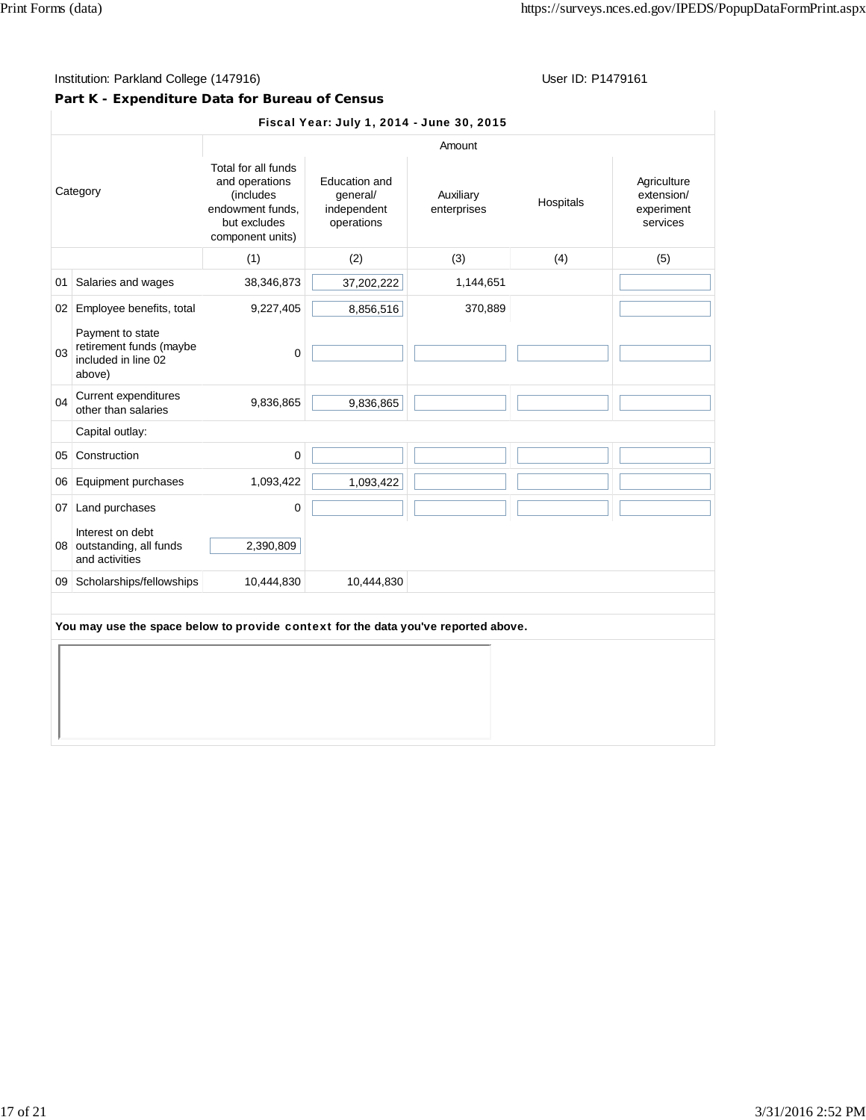## **Part K - Expenditure Data for Bureau of Census**

|          |                                                                                    |                                                                                                            | Fiscal Year: July 1, 2014 - June 30, 2015              |                          |           |                                                     |
|----------|------------------------------------------------------------------------------------|------------------------------------------------------------------------------------------------------------|--------------------------------------------------------|--------------------------|-----------|-----------------------------------------------------|
|          |                                                                                    |                                                                                                            |                                                        | Amount                   |           |                                                     |
| Category |                                                                                    | Total for all funds<br>and operations<br>(includes<br>endowment funds.<br>but excludes<br>component units) | Education and<br>general/<br>independent<br>operations | Auxiliary<br>enterprises | Hospitals | Agriculture<br>extension/<br>experiment<br>services |
|          |                                                                                    | (1)                                                                                                        | (2)                                                    | (3)                      | (4)       | (5)                                                 |
| 01       | Salaries and wages                                                                 | 38,346,873                                                                                                 | 37,202,222                                             | 1,144,651                |           |                                                     |
|          | 02 Employee benefits, total                                                        | 9,227,405                                                                                                  | 8,856,516                                              | 370,889                  |           |                                                     |
| 03       | Payment to state<br>retirement funds (maybe<br>included in line 02<br>above)       | $\mathbf 0$                                                                                                |                                                        |                          |           |                                                     |
| 04       | Current expenditures<br>other than salaries                                        | 9,836,865                                                                                                  | 9,836,865                                              |                          |           |                                                     |
|          | Capital outlay:                                                                    |                                                                                                            |                                                        |                          |           |                                                     |
|          | 05 Construction                                                                    | $\mathbf 0$                                                                                                |                                                        |                          |           |                                                     |
|          | 06 Equipment purchases                                                             | 1,093,422                                                                                                  | 1,093,422                                              |                          |           |                                                     |
|          | 07 Land purchases                                                                  | $\mathbf 0$                                                                                                |                                                        |                          |           |                                                     |
|          | Interest on debt<br>08 outstanding, all funds<br>and activities                    | 2,390,809                                                                                                  |                                                        |                          |           |                                                     |
|          | 09 Scholarships/fellowships                                                        | 10,444,830                                                                                                 | 10,444,830                                             |                          |           |                                                     |
|          | You may use the space below to provide context for the data you've reported above. |                                                                                                            |                                                        |                          |           |                                                     |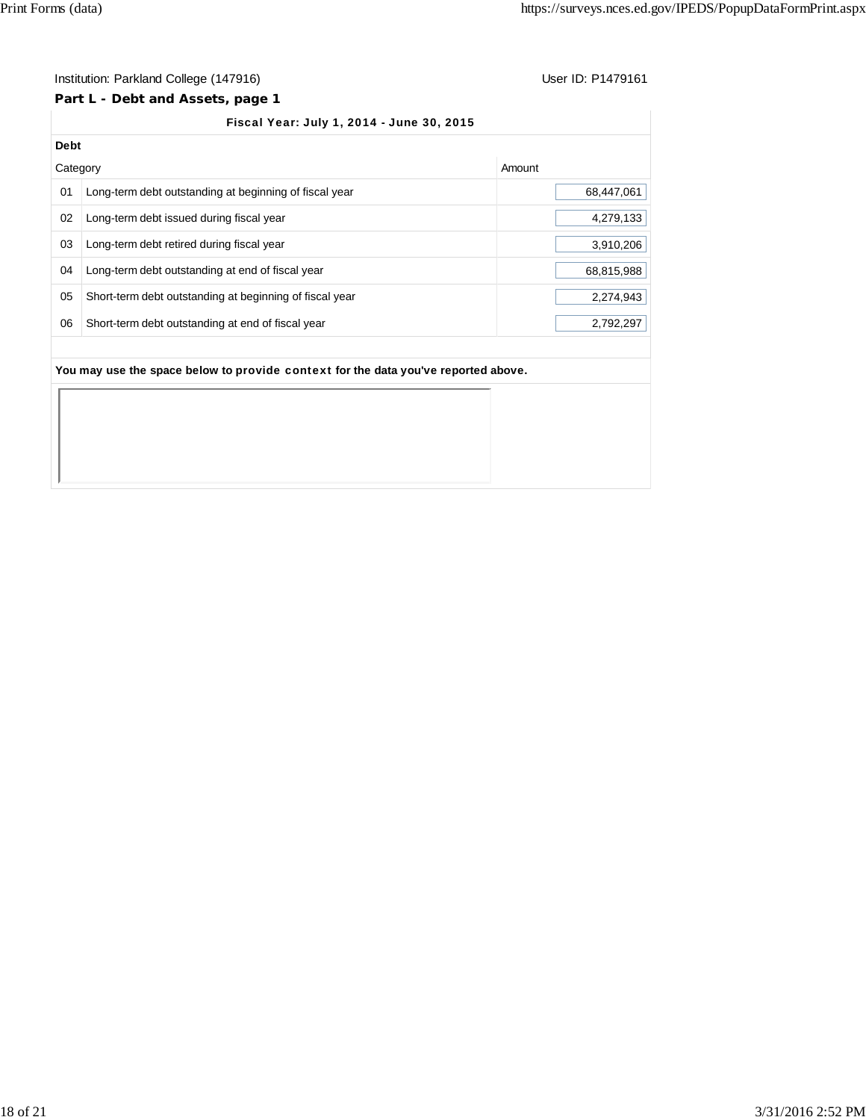## **Part L - Debt and Assets, page 1**

## Fiscal Year: July 1, 2014 - June 30, 2015

| <b>Debt</b> |                                                         |            |
|-------------|---------------------------------------------------------|------------|
| Category    |                                                         | Amount     |
| 01          | Long-term debt outstanding at beginning of fiscal year  | 68,447,061 |
| 02          | Long-term debt issued during fiscal year                | 4,279,133  |
| 03          | Long-term debt retired during fiscal year               | 3,910,206  |
| 04          | Long-term debt outstanding at end of fiscal year        | 68,815,988 |
| 05          | Short-term debt outstanding at beginning of fiscal year | 2,274,943  |
| 06          | Short-term debt outstanding at end of fiscal year       | 2,792,297  |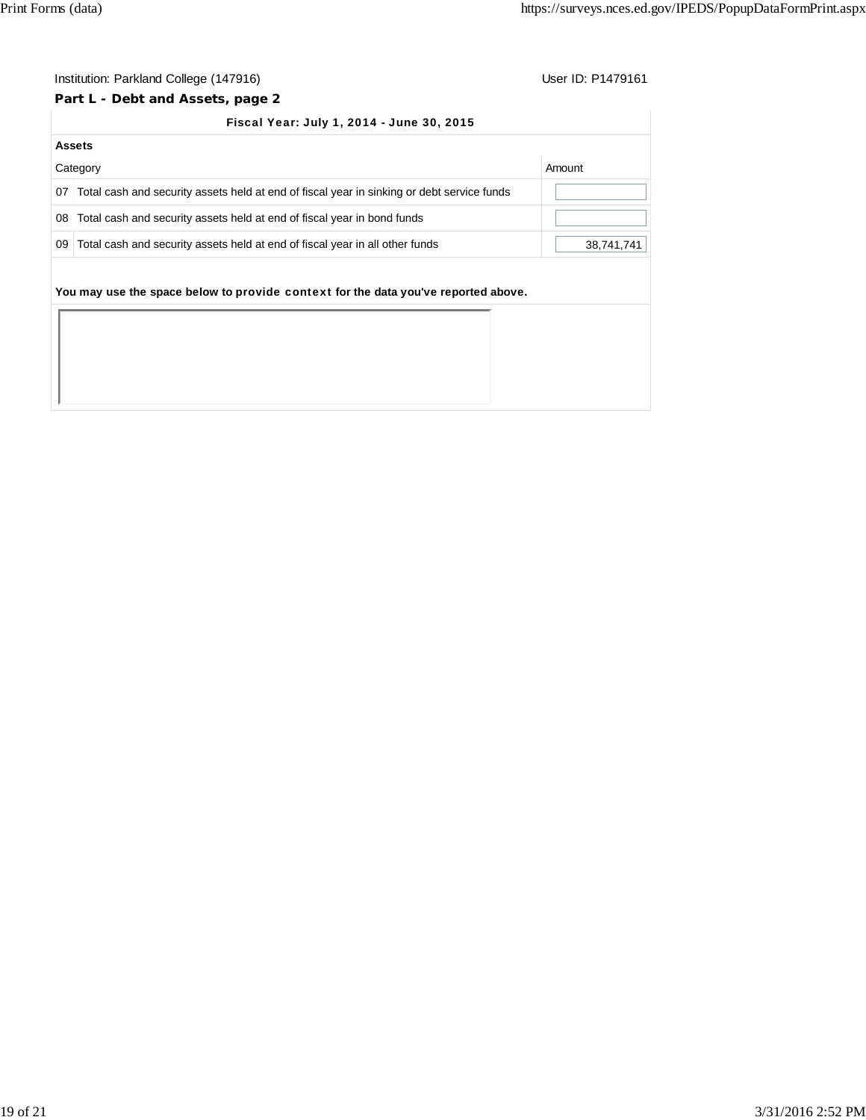## **Part L - Debt and Assets, page 2**

#### Fiscal Year: July 1, 2014 - June 30, 2015

|                 | <b>Assets</b>                                                                              |            |
|-----------------|--------------------------------------------------------------------------------------------|------------|
|                 | Category                                                                                   | Amount     |
| 07 <sup>1</sup> | Total cash and security assets held at end of fiscal year in sinking or debt service funds |            |
| 08              | Total cash and security assets held at end of fiscal year in bond funds                    |            |
| 09              | Total cash and security assets held at end of fiscal year in all other funds               | 38,741,741 |
|                 |                                                                                            |            |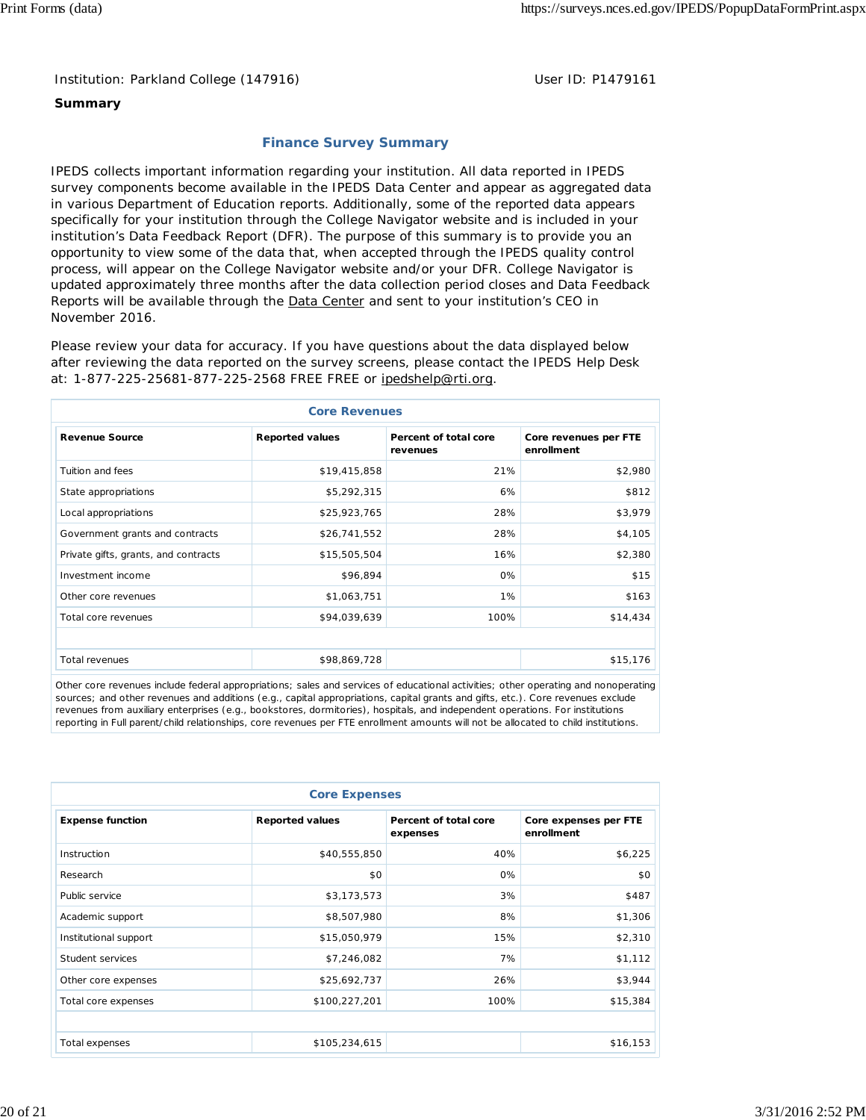## **Summary**

# **Finance Survey Summary**

IPEDS collects important information regarding your institution. All data reported in IPEDS survey components become available in the IPEDS Data Center and appear as aggregated data in various Department of Education reports. Additionally, some of the reported data appears specifically for your institution through the College Navigator website and is included in your institution's Data Feedback Report (DFR). The purpose of this summary is to provide you an opportunity to view some of the data that, when accepted through the IPEDS quality control process, will appear on the College Navigator website and/or your DFR. College Navigator is updated approximately three months after the data collection period closes and Data Feedback Reports will be available through the **Data Center** and sent to your institution's CEO in November 2016.

Please review your data for accuracy. If you have questions about the data displayed below after reviewing the data reported on the survey screens, please contact the IPEDS Help Desk at: 1-877-225-25681-877-225-2568 FREE FREE or ipedshelp@rti.org.

| <b>Core Revenues</b>                 |                        |                                   |                                     |  |  |  |
|--------------------------------------|------------------------|-----------------------------------|-------------------------------------|--|--|--|
| <b>Revenue Source</b>                | <b>Reported values</b> | Percent of total core<br>revenues | Core revenues per FTE<br>enrollment |  |  |  |
| Tuition and fees                     | \$19,415,858           | 21%                               | \$2,980                             |  |  |  |
| State appropriations                 | \$5,292,315            | 6%                                | \$812                               |  |  |  |
| Local appropriations                 | \$25,923,765           | 28%                               | \$3,979                             |  |  |  |
| Government grants and contracts      | \$26,741,552           | 28%                               | \$4,105                             |  |  |  |
| Private gifts, grants, and contracts | \$15,505,504           | 16%                               | \$2,380                             |  |  |  |
| Investment income                    | \$96,894               | 0%                                | \$15                                |  |  |  |
| Other core revenues                  | \$1,063,751            | 1%                                | \$163                               |  |  |  |
| Total core revenues                  | \$94,039,639           | 100%                              | \$14,434                            |  |  |  |
|                                      |                        |                                   |                                     |  |  |  |
| <b>Total revenues</b>                | \$98,869,728           |                                   | \$15,176                            |  |  |  |

Other core revenues include federal appropriations; sales and services of educational activities; other operating and nonoperating sources; and other revenues and additions (e.g., capital appropriations, capital grants and gifts, etc.). Core revenues exclude revenues from auxiliary enterprises (e.g., bookstores, dormitories), hospitals, and independent operations. For institutions reporting in Full parent/child relationships, core revenues per FTE enrollment amounts will not be allocated to child institutions.

| <b>Core Expenses</b>    |                        |                                   |                                     |  |  |  |  |  |
|-------------------------|------------------------|-----------------------------------|-------------------------------------|--|--|--|--|--|
| <b>Expense function</b> | <b>Reported values</b> | Percent of total core<br>expenses | Core expenses per FTE<br>enrollment |  |  |  |  |  |
| Instruction             | \$40,555,850           | 40%                               | \$6,225                             |  |  |  |  |  |
| Research                | \$0                    | 0%                                | \$0                                 |  |  |  |  |  |
| Public service          | \$3,173,573            | 3%                                | \$487                               |  |  |  |  |  |
| Academic support        | \$8,507,980            | 8%                                | \$1,306                             |  |  |  |  |  |
| Institutional support   | \$15,050,979           | 15%                               | \$2,310                             |  |  |  |  |  |
| Student services        | \$7,246,082            | 7%                                | \$1,112                             |  |  |  |  |  |
| Other core expenses     | \$25,692,737           | 26%                               | \$3,944                             |  |  |  |  |  |
| Total core expenses     | \$100,227,201          | 100%                              | \$15,384                            |  |  |  |  |  |
|                         |                        |                                   |                                     |  |  |  |  |  |
| Total expenses          | \$105,234,615          |                                   | \$16,153                            |  |  |  |  |  |